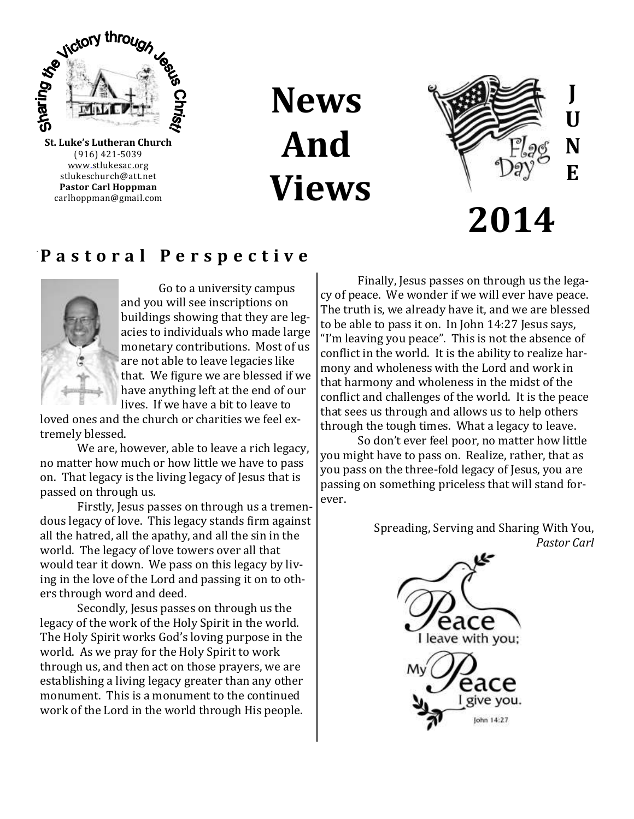

(916) 421-5039 [www.stlukesac.org](http://www.luther95.net/SLLC-SCA) stlukeschurch@att.net **Pastor Carl Hoppman** carlhoppman@gmail.com

**News And Views**



## **P a s t o r a l P e r s p e c t i v e**



Go to a university campus and you will see inscriptions on buildings showing that they are legacies to individuals who made large monetary contributions. Most of us are not able to leave legacies like that. We figure we are blessed if we have anything left at the end of our lives. If we have a bit to leave to

loved ones and the church or charities we feel extremely blessed.

We are, however, able to leave a rich legacy, no matter how much or how little we have to pass on. That legacy is the living legacy of Jesus that is passed on through us.

Firstly, Jesus passes on through us a tremendous legacy of love. This legacy stands firm against all the hatred, all the apathy, and all the sin in the world. The legacy of love towers over all that would tear it down. We pass on this legacy by living in the love of the Lord and passing it on to others through word and deed.

Secondly, Jesus passes on through us the legacy of the work of the Holy Spirit in the world. The Holy Spirit works God's loving purpose in the world. As we pray for the Holy Spirit to work through us, and then act on those prayers, we are establishing a living legacy greater than any other monument. This is a monument to the continued work of the Lord in the world through His people.

Finally, Jesus passes on through us the legacy of peace. We wonder if we will ever have peace. The truth is, we already have it, and we are blessed to be able to pass it on. In John 14:27 Jesus says, "I'm leaving you peace". This is not the absence of conflict in the world. It is the ability to realize harmony and wholeness with the Lord and work in that harmony and wholeness in the midst of the conflict and challenges of the world. It is the peace that sees us through and allows us to help others through the tough times. What a legacy to leave.

So don't ever feel poor, no matter how little you might have to pass on. Realize, rather, that as you pass on the three-fold legacy of Jesus, you are passing on something priceless that will stand forever.

> Spreading, Serving and Sharing With You, *Pastor Carl*

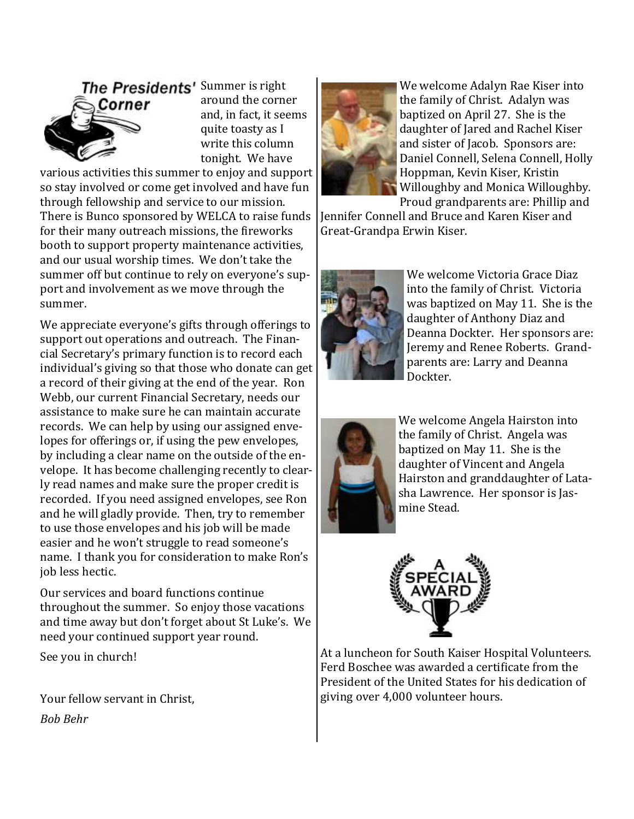

around the corner and, in fact, it seems quite toasty as I write this column tonight. We have

various activities this summer to enjoy and support so stay involved or come get involved and have fun through fellowship and service to our mission. There is Bunco sponsored by WELCA to raise funds for their many outreach missions, the fireworks booth to support property maintenance activities, and our usual worship times. We don't take the summer off but continue to rely on everyone's support and involvement as we move through the summer.

We appreciate everyone's gifts through offerings to support out operations and outreach. The Financial Secretary's primary function is to record each individual's giving so that those who donate can get a record of their giving at the end of the year. Ron Webb, our current Financial Secretary, needs our assistance to make sure he can maintain accurate records. We can help by using our assigned envelopes for offerings or, if using the pew envelopes, by including a clear name on the outside of the envelope. It has become challenging recently to clearly read names and make sure the proper credit is recorded. If you need assigned envelopes, see Ron and he will gladly provide. Then, try to remember to use those envelopes and his job will be made easier and he won't struggle to read someone's name. I thank you for consideration to make Ron's job less hectic.

Our services and board functions continue throughout the summer. So enjoy those vacations and time away but don't forget about St Luke's. We need your continued support year round.

See you in church!

Your fellow servant in Christ, *Bob Behr*



We welcome Adalyn Rae Kiser into the family of Christ. Adalyn was baptized on April 27. She is the daughter of Jared and Rachel Kiser and sister of Jacob. Sponsors are: Daniel Connell, Selena Connell, Holly Hoppman, Kevin Kiser, Kristin Willoughby and Monica Willoughby. Proud grandparents are: Phillip and

Jennifer Connell and Bruce and Karen Kiser and Great-Grandpa Erwin Kiser.



We welcome Victoria Grace Diaz into the family of Christ. Victoria was baptized on May 11. She is the daughter of Anthony Diaz and Deanna Dockter. Her sponsors are: Jeremy and Renee Roberts. Grandparents are: Larry and Deanna Dockter.



We welcome Angela Hairston into the family of Christ. Angela was baptized on May 11. She is the daughter of Vincent and Angela Hairston and granddaughter of Latasha Lawrence. Her sponsor is Jasmine Stead.



At a luncheon for South Kaiser Hospital Volunteers. Ferd Boschee was awarded a certificate from the President of the United States for his dedication of giving over 4,000 volunteer hours.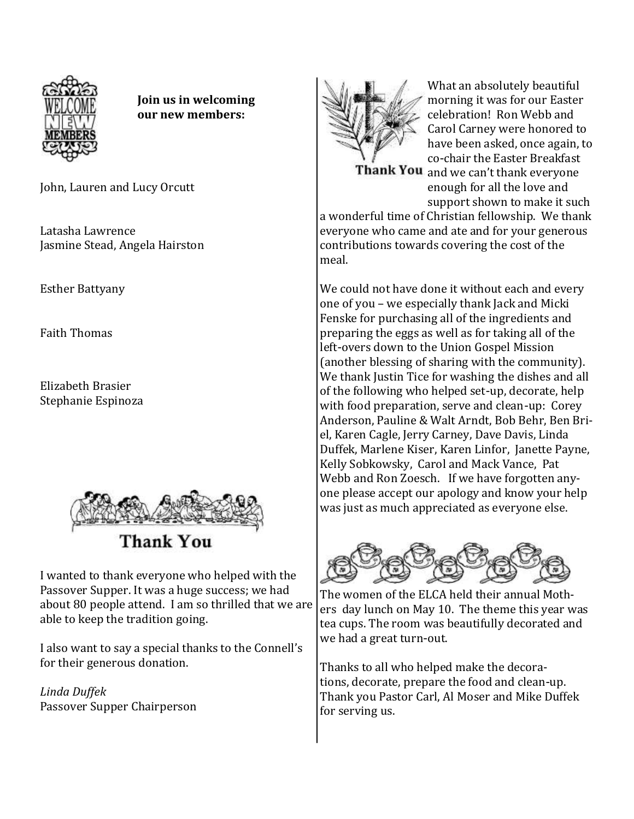

**Join us in welcoming our new members:**

John, Lauren and Lucy Orcutt

Latasha Lawrence Jasmine Stead, Angela Hairston

Esther Battyany

Faith Thomas

Elizabeth Brasier Stephanie Espinoza



**Thank You** 

I wanted to thank everyone who helped with the Passover Supper. It was a huge success; we had about 80 people attend. I am so thrilled that we are able to keep the tradition going.

I also want to say a special thanks to the Connell's for their generous donation.

*Linda Duffek*  Passover Supper Chairperson



What an absolutely beautiful morning it was for our Easter celebration! Ron Webb and Carol Carney were honored to have been asked, once again, to co-chair the Easter Breakfast Thank You and we can't thank everyone

enough for all the love and support shown to make it such

a wonderful time of Christian fellowship. We thank everyone who came and ate and for your generous contributions towards covering the cost of the meal.

We could not have done it without each and every one of you – we especially thank Jack and Micki Fenske for purchasing all of the ingredients and preparing the eggs as well as for taking all of the left-overs down to the Union Gospel Mission (another blessing of sharing with the community). We thank Justin Tice for washing the dishes and all of the following who helped set-up, decorate, help with food preparation, serve and clean-up: Corey Anderson, Pauline & Walt Arndt, Bob Behr, Ben Briel, Karen Cagle, Jerry Carney, Dave Davis, Linda Duffek, Marlene Kiser, Karen Linfor, Janette Payne, Kelly Sobkowsky, Carol and Mack Vance, Pat Webb and Ron Zoesch. If we have forgotten anyone please accept our apology and know your help was just as much appreciated as everyone else.



The women of the ELCA held their annual Mothers day lunch on May 10. The theme this year was tea cups. The room was beautifully decorated and we had a great turn-out.

Thanks to all who helped make the decorations, decorate, prepare the food and clean-up. Thank you Pastor Carl, Al Moser and Mike Duffek for serving us.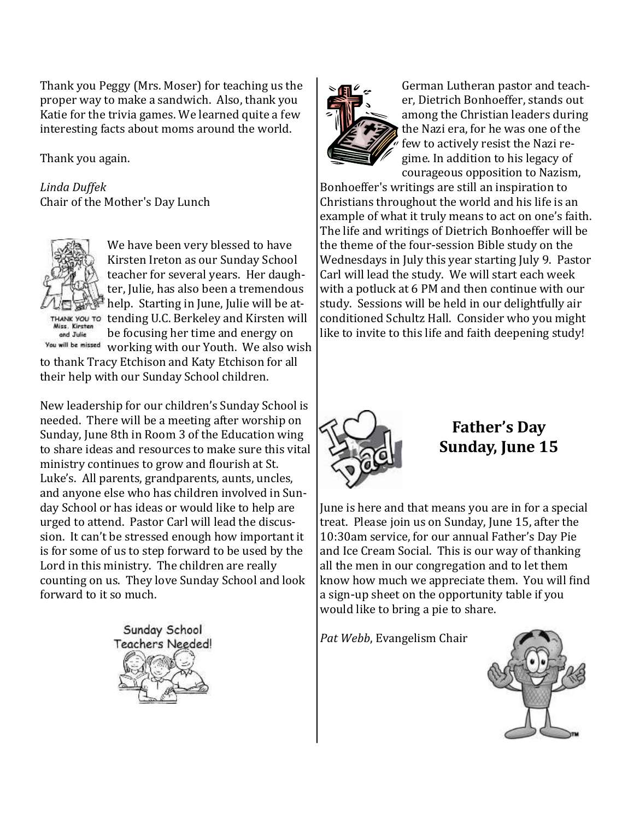Thank you Peggy (Mrs. Moser) for teaching us the proper way to make a sandwich. Also, thank you Katie for the trivia games. We learned quite a few interesting facts about moms around the world.

Thank you again.

*Linda Duffek* Chair of the Mother's Day Lunch



and Julie

We have been very blessed to have Kirsten Ireton as our Sunday School teacher for several years. Her daughter, Julie, has also been a tremendous help. Starting in June, Julie will be attending U.C. Berkeley and Kirsten will be focusing her time and energy on

You will be missed working with our Youth. We also wish to thank Tracy Etchison and Katy Etchison for all their help with our Sunday School children.

New leadership for our children's Sunday School is needed. There will be a meeting after worship on Sunday, June 8th in Room 3 of the Education wing to share ideas and resources to make sure this vital ministry continues to grow and flourish at St. Luke's. All parents, grandparents, aunts, uncles, and anyone else who has children involved in Sunday School or has ideas or would like to help are urged to attend. Pastor Carl will lead the discussion. It can't be stressed enough how important it is for some of us to step forward to be used by the Lord in this ministry. The children are really counting on us. They love Sunday School and look forward to it so much.





German Lutheran pastor and teacher, Dietrich Bonhoeffer, stands out among the Christian leaders during the Nazi era, for he was one of the few to actively resist the Nazi regime. In addition to his legacy of courageous opposition to Nazism,

Bonhoeffer's writings are still an inspiration to Christians throughout the world and his life is an example of what it truly means to act on one's faith. The life and writings of Dietrich Bonhoeffer will be the theme of the four-session Bible study on the Wednesdays in July this year starting July 9. Pastor Carl will lead the study. We will start each week with a potluck at 6 PM and then continue with our study. Sessions will be held in our delightfully air conditioned Schultz Hall. Consider who you might like to invite to this life and faith deepening study!



**Father's Day Sunday, June 15**

June is here and that means you are in for a special treat. Please join us on Sunday, June 15, after the 10:30am service, for our annual Father's Day Pie and Ice Cream Social. This is our way of thanking all the men in our congregation and to let them know how much we appreciate them. You will find a sign-up sheet on the opportunity table if you would like to bring a pie to share.

*Pat Webb*, Evangelism Chair

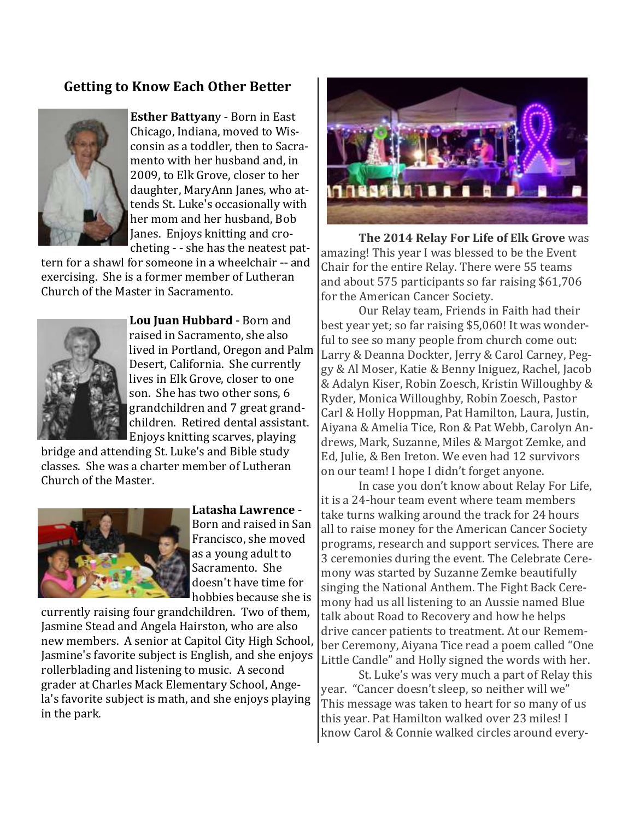## **Getting to Know Each Other Better**



**Esther Battyan**y - Born in East Chicago, Indiana, moved to Wisconsin as a toddler, then to Sacramento with her husband and, in 2009, to Elk Grove, closer to her daughter, MaryAnn Janes, who attends St. Luke's occasionally with her mom and her husband, Bob Janes. Enjoys knitting and crocheting - - she has the neatest pat-

tern for a shawl for someone in a wheelchair -- and exercising. She is a former member of Lutheran Church of the Master in Sacramento.



**Lou Juan Hubbard** - Born and raised in Sacramento, she also lived in Portland, Oregon and Palm Desert, California. She currently lives in Elk Grove, closer to one son. She has two other sons, 6 grandchildren and 7 great grandchildren. Retired dental assistant. Enjoys knitting scarves, playing

bridge and attending St. Luke's and Bible study classes. She was a charter member of Lutheran Church of the Master.



**Latasha Lawrence** - Born and raised in San Francisco, she moved as a young adult to Sacramento. She doesn't have time for hobbies because she is

currently raising four grandchildren. Two of them, Jasmine Stead and Angela Hairston, who are also new members. A senior at Capitol City High School, Jasmine's favorite subject is English, and she enjoys rollerblading and listening to music. A second grader at Charles Mack Elementary School, Angela's favorite subject is math, and she enjoys playing in the park.



**The 2014 Relay For Life of Elk Grove** was amazing! This year I was blessed to be the Event Chair for the entire Relay. There were 55 teams and about 575 participants so far raising \$61,706 for the American Cancer Society.

Our Relay team, Friends in Faith had their best year yet; so far raising \$5,060! It was wonderful to see so many people from church come out: Larry & Deanna Dockter, Jerry & Carol Carney, Peggy & Al Moser, Katie & Benny Iniguez, Rachel, Jacob & Adalyn Kiser, Robin Zoesch, Kristin Willoughby & Ryder, Monica Willoughby, Robin Zoesch, Pastor Carl & Holly Hoppman, Pat Hamilton, Laura, Justin, Aiyana & Amelia Tice, Ron & Pat Webb, Carolyn Andrews, Mark, Suzanne, Miles & Margot Zemke, and Ed, Julie, & Ben Ireton. We even had 12 survivors on our team! I hope I didn't forget anyone.

In case you don't know about Relay For Life, it is a 24-hour team event where team members take turns walking around the track for 24 hours all to raise money for the American Cancer Society programs, research and support services. There are 3 ceremonies during the event. The Celebrate Ceremony was started by Suzanne Zemke beautifully singing the National Anthem. The Fight Back Ceremony had us all listening to an Aussie named Blue talk about Road to Recovery and how he helps drive cancer patients to treatment. At our Remember Ceremony, Aiyana Tice read a poem called "One Little Candle" and Holly signed the words with her.

St. Luke's was very much a part of Relay this year. "Cancer doesn't sleep, so neither will we" This message was taken to heart for so many of us this year. Pat Hamilton walked over 23 miles! I know Carol & Connie walked circles around every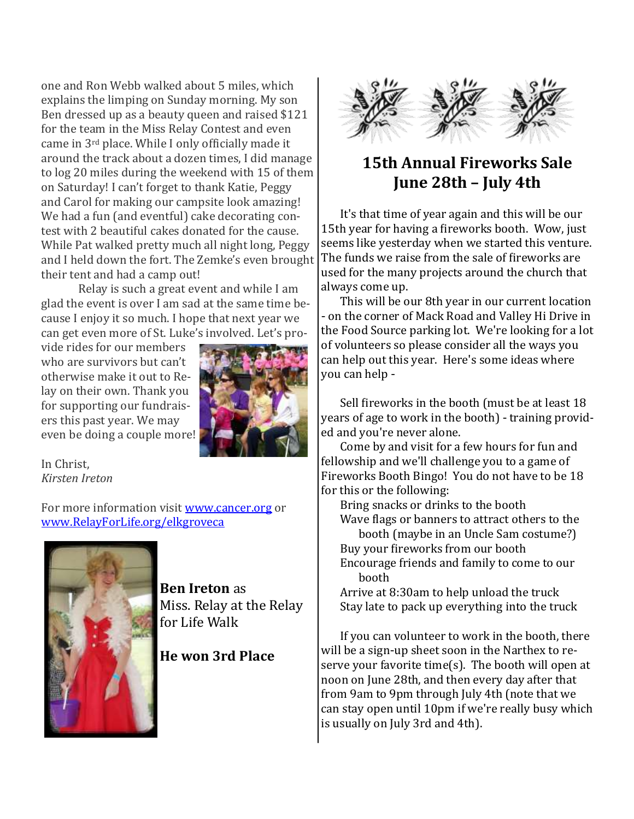one and Ron Webb walked about 5 miles, which explains the limping on Sunday morning. My son Ben dressed up as a beauty queen and raised \$121 for the team in the Miss Relay Contest and even came in 3rd place. While I only officially made it around the track about a dozen times, I did manage to log 20 miles during the weekend with 15 of them on Saturday! I can't forget to thank Katie, Peggy and Carol for making our campsite look amazing! We had a fun (and eventful) cake decorating contest with 2 beautiful cakes donated for the cause. While Pat walked pretty much all night long, Peggy and I held down the fort. The Zemke's even brought their tent and had a camp out!

Relay is such a great event and while I am glad the event is over I am sad at the same time because I enjoy it so much. I hope that next year we can get even more of St. Luke's involved. Let's pro-

vide rides for our members who are survivors but can't otherwise make it out to Relay on their own. Thank you for supporting our fundraisers this past year. We may even be doing a couple more!



In Christ, *Kirsten Ireton*

For more information visit [www.cancer.org](http://www.cancer.org) or [www.RelayForLife.org/elkgroveca](http://www.RelayForLife.org/elkgroveca)



**Ben Ireton** as Miss. Relay at the Relay for Life Walk

## **He won 3rd Place**



## **15th Annual Fireworks Sale June 28th – July 4th**

It's that time of year again and this will be our 15th year for having a fireworks booth. Wow, just seems like yesterday when we started this venture. The funds we raise from the sale of fireworks are used for the many projects around the church that always come up.

This will be our 8th year in our current location - on the corner of Mack Road and Valley Hi Drive in the Food Source parking lot. We're looking for a lot of volunteers so please consider all the ways you can help out this year. Here's some ideas where you can help -

Sell fireworks in the booth (must be at least 18 years of age to work in the booth) - training provided and you're never alone.

Come by and visit for a few hours for fun and fellowship and we'll challenge you to a game of Fireworks Booth Bingo! You do not have to be 18 for this or the following:

Bring snacks or drinks to the booth Wave flags or banners to attract others to the booth (maybe in an Uncle Sam costume?) Buy your fireworks from our booth Encourage friends and family to come to our booth

Arrive at 8:30am to help unload the truck Stay late to pack up everything into the truck

If you can volunteer to work in the booth, there will be a sign-up sheet soon in the Narthex to reserve your favorite time(s). The booth will open at noon on June 28th, and then every day after that from 9am to 9pm through July 4th (note that we can stay open until 10pm if we're really busy which is usually on July 3rd and 4th).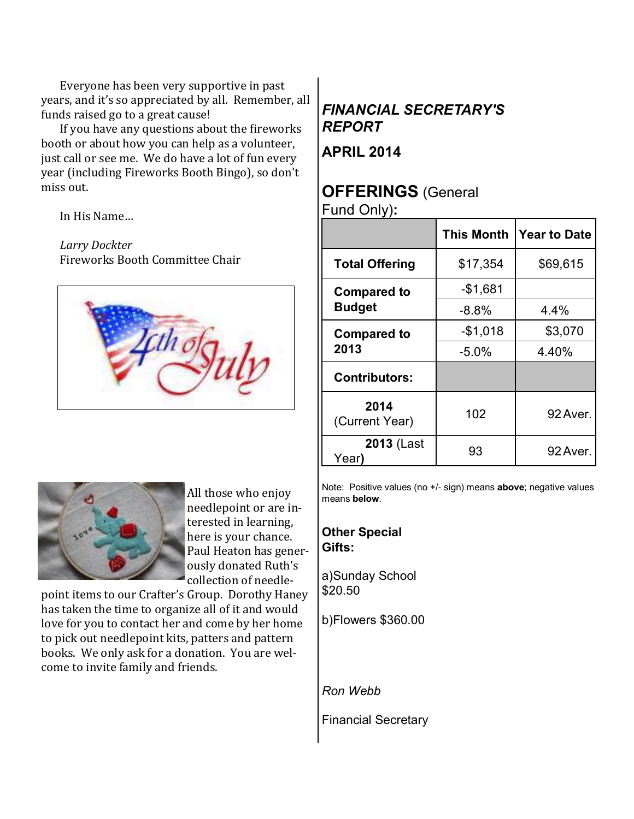Everyone has been very supportive in past years, and it's so appreciated by all. Remember, all funds raised go to a great cause!

If you have any questions about the fireworks booth or about how you can help as a volunteer, just call or see me. We do have a lot of fun every year (including Fireworks Booth Bingo), so don't miss out.

In His Name…

#### *Larry Dockter*

Fireworks Booth Committee Chair





All those who enjoy needlepoint or are interested in learning, here is your chance. Paul Heaton has generously donated Ruth's collection of needle-

point items to our Crafter's Group. Dorothy Haney has taken the time to organize all of it and would love for you to contact her and come by her home to pick out needlepoint kits, patters and pattern books. We only ask for a donation. You are welcome to invite family and friends.

## *FINANCIAL SECRETARY'S REPORT*

**APRIL 2014**

## **OFFERINGS** (General

Fund Only)**:**

|                                     | This Month | <b>Year to Date</b> |
|-------------------------------------|------------|---------------------|
| <b>Total Offering</b>               | \$17,354   | \$69,615            |
| <b>Compared to</b><br><b>Budget</b> | $-$1,681$  |                     |
|                                     | $-8.8%$    | 4.4%                |
| <b>Compared to</b><br>2013          | $-$1,018$  | \$3,070             |
|                                     | $-5.0%$    | 4.40%               |
| <b>Contributors:</b>                |            |                     |
| 2014<br>(Current Year)              | 102        | 92 Aver.            |
| <b>2013 (Last</b><br>Year)          | 93         | 92 Aver.            |

Note: Positive values (no +/- sign) means **above**; negative values means **below**.

**Other Special Gifts:**

a)Sunday School \$20.50

b)Flowers \$360.00

*Ron Webb*

Financial Secretary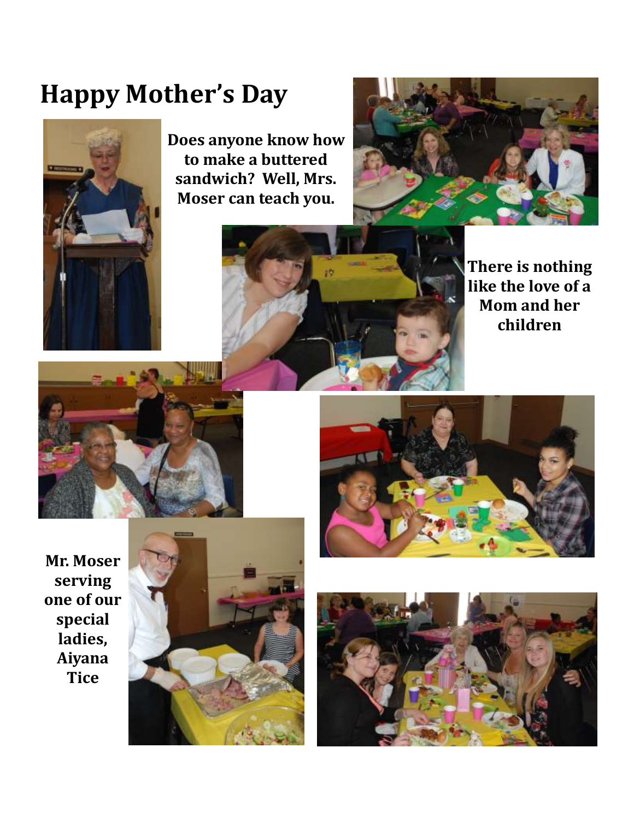## **Happy Mother's Day**



**Does anyone know how to make a buttered sandwich? Well, Mrs. Moser can teach you.**





**There is nothing like the love of a Mom and her children**





**Mr. Moser serving one of our special ladies, Aiyana Tice**



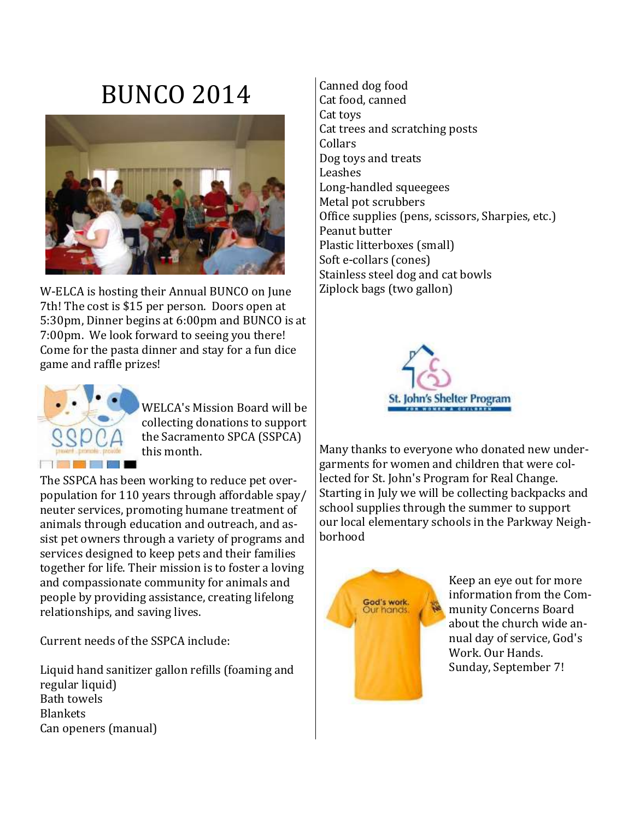# BUNCO 2014



W-ELCA is hosting their Annual BUNCO on June 7th! The cost is \$15 per person. Doors open at 5:30pm, Dinner begins at 6:00pm and BUNCO is at 7:00pm. We look forward to seeing you there! Come for the pasta dinner and stay for a fun dice game and raffle prizes!



WELCA's Mission Board will be collecting donations to support the Sacramento SPCA (SSPCA) this month.

The SSPCA has been working to reduce pet overpopulation for 110 years through affordable spay/ neuter services, promoting humane treatment of animals through education and outreach, and assist pet owners through a variety of programs and services designed to keep pets and their families together for life. Their mission is to foster a loving and compassionate community for animals and people by providing assistance, creating lifelong relationships, and saving lives.

Current needs of the SSPCA include:

Liquid hand sanitizer gallon refills (foaming and regular liquid) Bath towels Blankets Can openers (manual)

Canned dog food Cat food, canned Cat toys Cat trees and scratching posts Collars Dog toys and treats Leashes Long-handled squeegees Metal pot scrubbers Office supplies (pens, scissors, Sharpies, etc.) Peanut butter Plastic litterboxes (small) Soft e-collars (cones) Stainless steel dog and cat bowls Ziplock bags (two gallon)



Many thanks to everyone who donated new undergarments for women and children that were collected for St. John's Program for Real Change. Starting in July we will be collecting backpacks and school supplies through the summer to support our local elementary schools in the Parkway Neighborhood



Keep an eye out for more information from the Community Concerns Board about the church wide annual day of service, God's Work. Our Hands. Sunday, September 7!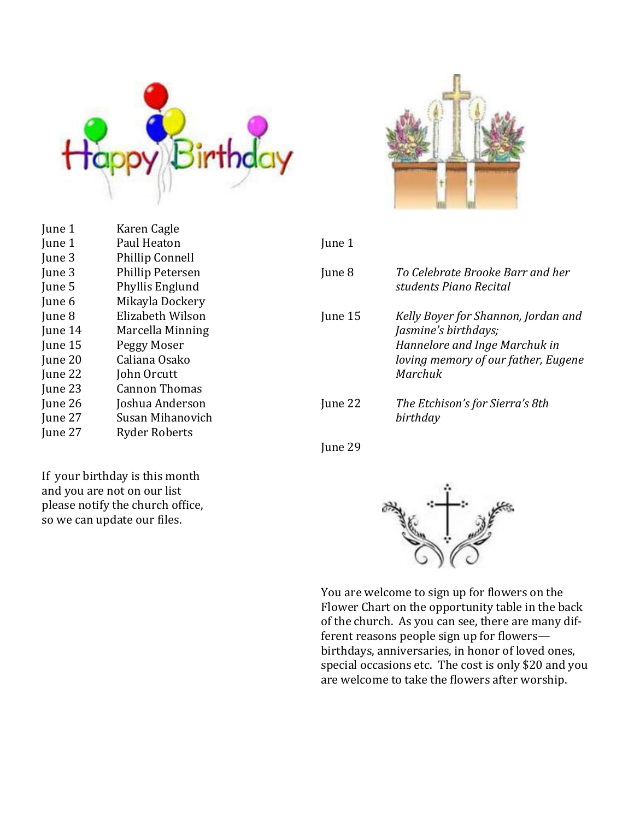



| June 1  | Paul Heaton            | June 1  |                                     |
|---------|------------------------|---------|-------------------------------------|
| June 3  | <b>Phillip Connell</b> |         |                                     |
| June 3  | Phillip Petersen       | June 8  | To Celebrate Brooke Barr and her    |
| June 5  | Phyllis Englund        |         | students Piano Recital              |
| June 6  | Mikayla Dockery        |         |                                     |
| June 8  | Elizabeth Wilson       | June 15 | Kelly Boyer for Shannon, Jordan and |
| June 14 | Marcella Minning       |         | Jasmine's birthdays;                |
| June 15 | Peggy Moser            |         | Hannelore and Inge Marchuk in       |
| June 20 | Caliana Osako          |         | loving memory of our father, Eugene |
| June 22 | John Orcutt            |         | Marchuk                             |
| June 23 | <b>Cannon Thomas</b>   |         |                                     |
| June 26 | Joshua Anderson        | June 22 | The Etchison's for Sierra's 8th     |
| June 27 | Susan Mihanovich       |         | birthday                            |
| June 27 | <b>Ryder Roberts</b>   |         |                                     |
|         |                        | June 29 |                                     |

If your birthday is this month and you are not on our list please notify the church office, so we can update our files.

June 1 Karen Cagle





Flower Chart on the opportunity table in the back of the church. As you can see, there are many different reasons people sign up for flowers birthdays, anniversaries, in honor of loved ones, special occasions etc. The cost is only \$20 and you are welcome to take the flowers after worship.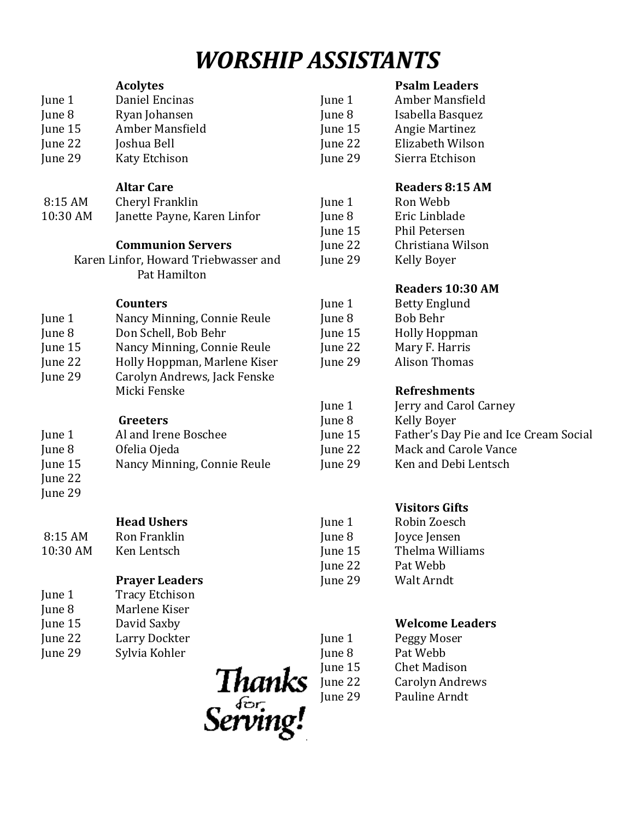## *WORSHIP ASSISTANTS*

#### **Acolytes** June 1 Daniel Encinas June 8 Ryan Johansen June 15 Amber Mansfield June 22 Joshua Bell June 29 Katy Etchison June 15 Angie Martinez

#### **Altar Care**

8:15 AM Cheryl Franklin 10:30 AM Janette Payne, Karen Linfor

### **Communion Servers**

Karen Linfor, Howard Triebwasser and Pat Hamilton

**Counters**

| June 1  | Nancy Minning, Connie Reule  |
|---------|------------------------------|
| June 8  | Don Schell, Bob Behr         |
| June 15 | Nancy Minning, Connie Reule  |
| June 22 | Holly Hoppman, Marlene Kiser |
| June 29 | Carolyn Andrews, Jack Fenske |
|         | Micki Fenske                 |

#### **Greeters** June 1 Al and Irene Boschee June 8 Ofelia Ojeda June 15 Nancy Minning, Connie Reule June 22 June 29

|          | <b>Head Ushers</b>    | June 1    |
|----------|-----------------------|-----------|
| 8:15AM   | Ron Franklin          | June $\{$ |
| 10:30 AM | Ken Lentsch           | June 1    |
|          |                       | June 2    |
|          | <b>Prayer Leaders</b> | June 2    |

| June 1  | <b>Tracy Etchison</b> |
|---------|-----------------------|
| June 8  | Marlene Kiser         |
| June 15 | David Saxby           |
| June 22 | Larry Dockter         |

- June 29 Sylvia Kohler
- Thanks Serving!

### **Psalm Leaders**

June 1 Amber Mansfield June 8 Isabella Basquez June 22 Elizabeth Wilson June 29 Sierra Etchison

## **Readers 8:15 AM**

| June 1  | Ron Webb          |
|---------|-------------------|
| June 8  | Eric Linblade     |
| June 15 | Phil Petersen     |
| June 22 | Christiana Wilson |
| June 29 | Kelly Boyer       |
|         |                   |

## **Readers 10:30 AM**

| June 1  | <b>Betty Englund</b> |
|---------|----------------------|
| June 8  | <b>Bob Behr</b>      |
| June 15 | <b>Holly Hoppman</b> |
| June 22 | Mary F. Harris       |
| June 29 | Alison Thomas        |
|         |                      |

## **Refreshments**

| June 1  | Jerry and Carol Carney                |
|---------|---------------------------------------|
| June 8  | Kelly Boyer                           |
| June 15 | Father's Day Pie and Ice Cream Social |
| June 22 | Mack and Carole Vance                 |
| June 29 | Ken and Debi Lentsch                  |
|         |                                       |

### **Visitors Gifts**

| June 1  | Robin Zoesch    |
|---------|-----------------|
| June 8  | Joyce Jensen    |
| June 15 | Thelma Williams |
| June 22 | Pat Webb        |
| June 29 | Walt Arndt      |

### **Welcome Leaders**

| June 1  | Peggy Moser         |
|---------|---------------------|
| June 8  | Pat Webb            |
| June 15 | <b>Chet Madison</b> |
| June 22 | Carolyn Andrews     |
| June 29 | Pauline Arndt       |